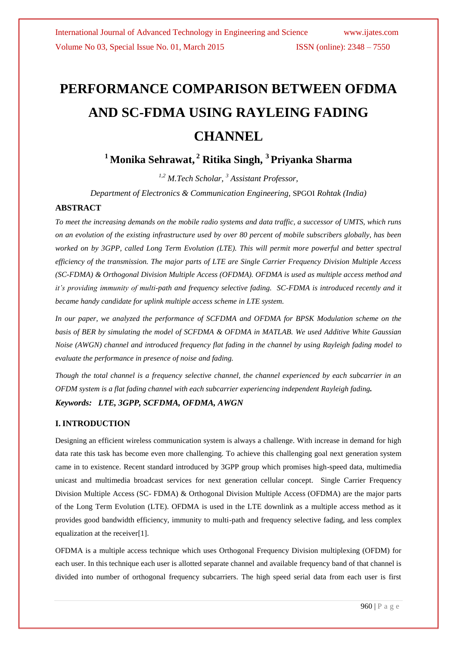# **PERFORMANCE COMPARISON BETWEEN OFDMA AND SC-FDMA USING RAYLEING FADING CHANNEL**

# **<sup>1</sup> Monika Sehrawat, <sup>2</sup> Ritika Singh, <sup>3</sup>Priyanka Sharma**

*1,2 M.Tech Scholar, <sup>3</sup> Assistant Professor,*

*Department of Electronics & Communication Engineering,* SPGOI *Rohtak (India)*

#### **ABSTRACT**

*To meet the increasing demands on the mobile radio systems and data traffic, a successor of UMTS, which runs on an evolution of the existing infrastructure used by over 80 percent of mobile subscribers globally, has been worked on by 3GPP, called Long Term Evolution (LTE). This will permit more powerful and better spectral efficiency of the transmission. The major parts of LTE are Single Carrier Frequency Division Multiple Access (SC-FDMA) & Orthogonal Division Multiple Access (OFDMA). OFDMA is used as multiple access method and it's providing immunity of multi-path and frequency selective fading. SC-FDMA is introduced recently and it became handy candidate for uplink multiple access scheme in LTE system.* 

*In our paper, we analyzed the performance of SCFDMA and OFDMA for BPSK Modulation scheme on the basis of BER by simulating the model of SCFDMA & OFDMA in MATLAB. We used Additive White Gaussian Noise (AWGN) channel and introduced frequency flat fading in the channel by using Rayleigh fading model to evaluate the performance in presence of noise and fading.*

*Though the total channel is a frequency selective channel, the channel experienced by each subcarrier in an OFDM system is a flat fading channel with each subcarrier experiencing independent Rayleigh fading.*

### *Keywords: LTE, 3GPP, SCFDMA, OFDMA, AWGN*

#### **I. INTRODUCTION**

Designing an efficient wireless communication system is always a challenge. With increase in demand for high data rate this task has become even more challenging. To achieve this challenging goal next generation system came in to existence. Recent standard introduced by 3GPP group which promises high-speed data, multimedia unicast and multimedia broadcast services for next generation cellular concept. Single Carrier Frequency Division Multiple Access (SC- FDMA) & Orthogonal Division Multiple Access (OFDMA) are the major parts of the Long Term Evolution (LTE). OFDMA is used in the LTE downlink as a multiple access method as it provides good bandwidth efficiency, immunity to multi-path and frequency selective fading, and less complex equalization at the receiver[1].

OFDMA is a multiple access technique which uses Orthogonal Frequency Division multiplexing (OFDM) for each user. In this technique each user is allotted separate channel and available frequency band of that channel is divided into number of orthogonal frequency subcarriers. The high speed serial data from each user is first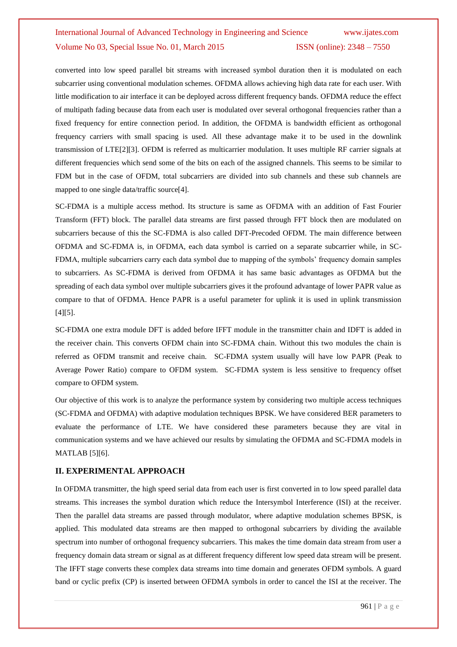converted into low speed parallel bit streams with increased symbol duration then it is modulated on each subcarrier using conventional modulation schemes. OFDMA allows achieving high data rate for each user. With little modification to air interface it can be deployed across different frequency bands. OFDMA reduce the effect of multipath fading because data from each user is modulated over several orthogonal frequencies rather than a fixed frequency for entire connection period. In addition, the OFDMA is bandwidth efficient as orthogonal frequency carriers with small spacing is used. All these advantage make it to be used in the downlink transmission of LTE[2][3]. OFDM is referred as multicarrier modulation. It uses multiple RF carrier signals at different frequencies which send some of the bits on each of the assigned channels. This seems to be similar to FDM but in the case of OFDM, total subcarriers are divided into sub channels and these sub channels are mapped to one single data/traffic source[4].

SC-FDMA is a multiple access method. Its structure is same as OFDMA with an addition of Fast Fourier Transform (FFT) block. The parallel data streams are first passed through FFT block then are modulated on subcarriers because of this the SC-FDMA is also called DFT-Precoded OFDM. The main difference between OFDMA and SC-FDMA is, in OFDMA, each data symbol is carried on a separate subcarrier while, in SC-FDMA, multiple subcarriers carry each data symbol due to mapping of the symbols' frequency domain samples to subcarriers. As SC-FDMA is derived from OFDMA it has same basic advantages as OFDMA but the spreading of each data symbol over multiple subcarriers gives it the profound advantage of lower PAPR value as compare to that of OFDMA. Hence PAPR is a useful parameter for uplink it is used in uplink transmission [4][5].

SC-FDMA one extra module DFT is added before IFFT module in the transmitter chain and IDFT is added in the receiver chain. This converts OFDM chain into SC-FDMA chain. Without this two modules the chain is referred as OFDM transmit and receive chain. SC-FDMA system usually will have low PAPR (Peak to Average Power Ratio) compare to OFDM system. SC-FDMA system is less sensitive to frequency offset compare to OFDM system.

Our objective of this work is to analyze the performance system by considering two multiple access techniques (SC-FDMA and OFDMA) with adaptive modulation techniques BPSK. We have considered BER parameters to evaluate the performance of LTE. We have considered these parameters because they are vital in communication systems and we have achieved our results by simulating the OFDMA and SC-FDMA models in MATLAB [5][6].

#### **II. EXPERIMENTAL APPROACH**

In OFDMA transmitter, the high speed serial data from each user is first converted in to low speed parallel data streams. This increases the symbol duration which reduce the Intersymbol Interference (ISI) at the receiver. Then the parallel data streams are passed through modulator, where adaptive modulation schemes BPSK, is applied. This modulated data streams are then mapped to orthogonal subcarriers by dividing the available spectrum into number of orthogonal frequency subcarriers. This makes the time domain data stream from user a frequency domain data stream or signal as at different frequency different low speed data stream will be present. The IFFT stage converts these complex data streams into time domain and generates OFDM symbols. A guard band or cyclic prefix (CP) is inserted between OFDMA symbols in order to cancel the ISI at the receiver. The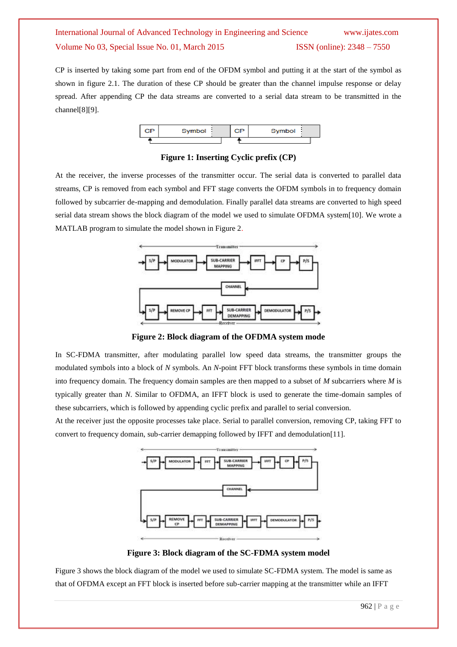CP is inserted by taking some part from end of the OFDM symbol and putting it at the start of the symbol as shown in figure 2.1. The duration of these CP should be greater than the channel impulse response or delay spread. After appending CP the data streams are converted to a serial data stream to be transmitted in the channel[8][9].



**Figure 1: Inserting Cyclic prefix (CP)**

At the receiver, the inverse processes of the transmitter occur. The serial data is converted to parallel data streams, CP is removed from each symbol and FFT stage converts the OFDM symbols in to frequency domain followed by subcarrier de-mapping and demodulation. Finally parallel data streams are converted to high speed serial data stream shows the block diagram of the model we used to simulate OFDMA system[10]. We wrote a MATLAB program to simulate the model shown in Figure 2.



**Figure 2: Block diagram of the OFDMA system mode**

In SC-FDMA transmitter, after modulating parallel low speed data streams, the transmitter groups the modulated symbols into a block of *N* symbols. An *N*-point FFT block transforms these symbols in time domain into frequency domain. The frequency domain samples are then mapped to a subset of *M* subcarriers where *M* is typically greater than *N*. Similar to OFDMA, an IFFT block is used to generate the time-domain samples of these subcarriers, which is followed by appending cyclic prefix and parallel to serial conversion.

At the receiver just the opposite processes take place. Serial to parallel conversion, removing CP, taking FFT to convert to frequency domain, sub-carrier demapping followed by IFFT and demodulation[11].



**Figure 3: Block diagram of the SC-FDMA system model**

Figure 3 shows the block diagram of the model we used to simulate SC-FDMA system. The model is same as that of OFDMA except an FFT block is inserted before sub-carrier mapping at the transmitter while an IFFT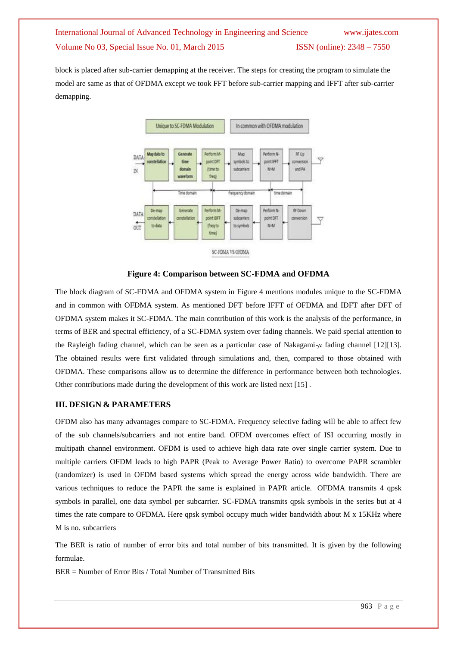block is placed after sub-carrier demapping at the receiver. The steps for creating the program to simulate the model are same as that of OFDMA except we took FFT before sub-carrier mapping and IFFT after sub-carrier demapping.



**Figure 4: Comparison between SC-FDMA and OFDMA**

The block diagram of SC-FDMA and OFDMA system in Figure 4 mentions modules unique to the SC-FDMA and in common with OFDMA system. As mentioned DFT before IFFT of OFDMA and IDFT after DFT of OFDMA system makes it SC-FDMA. The main contribution of this work is the analysis of the performance, in terms of BER and spectral efficiency, of a SC-FDMA system over fading channels. We paid special attention to the Rayleigh fading channel, which can be seen as a particular case of Nakagami-*μ* fading channel [12][13]. The obtained results were first validated through simulations and, then, compared to those obtained with OFDMA. These comparisons allow us to determine the difference in performance between both technologies. Other contributions made during the development of this work are listed next [15] .

### **III. DESIGN & PARAMETERS**

OFDM also has many advantages compare to SC-FDMA. Frequency selective fading will be able to affect few of the sub channels/subcarriers and not entire band. OFDM overcomes effect of ISI occurring mostly in multipath channel environment. OFDM is used to achieve high data rate over single carrier system. Due to multiple carriers OFDM leads to high PAPR (Peak to Average Power Ratio) to overcome PAPR scrambler (randomizer) is used in OFDM based systems which spread the energy across wide bandwidth. There are various techniques to reduce the PAPR the same is explained in PAPR article. OFDMA transmits 4 qpsk symbols in parallel, one data symbol per subcarrier. SC-FDMA transmits qpsk symbols in the series but at 4 times the rate compare to OFDMA. Here qpsk symbol occupy much wider bandwidth about M x 15KHz where M is no. subcarriers

The BER is ratio of number of error bits and total number of bits transmitted. It is given by the following formulae.

BER = Number of Error Bits / Total Number of Transmitted Bits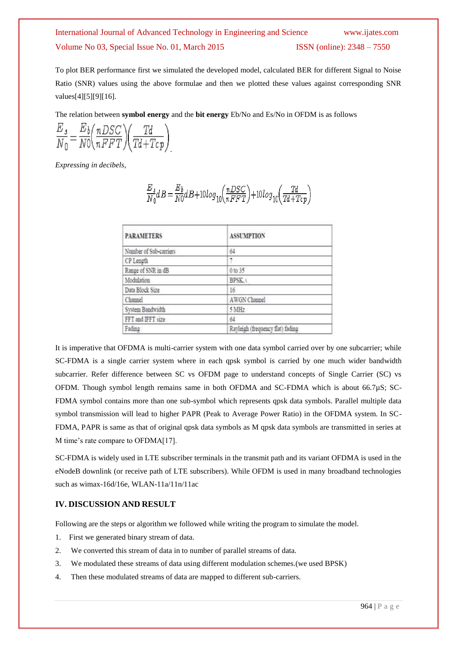To plot BER performance first we simulated the developed model, calculated BER for different Signal to Noise Ratio (SNR) values using the above formulae and then we plotted these values against corresponding SNR values[4][5][9][16].

The relation between **symbol energy** and the **bit energy** Eb/No and Es/No in OFDM is as follows

$$
\frac{E_s}{N_0} = \frac{E_b}{N0} \left( \frac{nDSC}{nFFT} \right) \left( \frac{Td}{Td + Tcp} \right)
$$

*Expressing in decibels,*

$$
\frac{E_s}{N_0}dB=\frac{E_b}{N0}dB+10log_{10}\left(\frac{nDSC}{nFFT}\right)+10log_{10}\left(\frac{Td}{Td+Tcp}\right)
$$

| <b>PARAMETERS</b>      | <b>ASSUMPTION</b>                |
|------------------------|----------------------------------|
| Number of Sub-carriers | 64                               |
| CP Length              | ٠                                |
| Range of SNR in dB     | $0$ to $35$                      |
| Modulation             | <b>BPSK<sub>t</sub></b>          |
| Data Block Size        | 16                               |
| Channel                | AWGN Channel                     |
| System Bandwidth       | 5 MHz                            |
| FFT and IFFT size      | 64                               |
| Fading                 | Rayleigh (frequency flat) fading |

It is imperative that OFDMA is multi-carrier system with one data symbol carried over by one subcarrier; while SC-FDMA is a single carrier system where in each qpsk symbol is carried by one much wider bandwidth subcarrier. Refer difference between SC vs OFDM page to understand concepts of Single Carrier (SC) vs OFDM. Though symbol length remains same in both OFDMA and SC-FDMA which is about 66.7µS; SC-FDMA symbol contains more than one sub-symbol which represents qpsk data symbols. Parallel multiple data symbol transmission will lead to higher PAPR (Peak to Average Power Ratio) in the OFDMA system. In SC-FDMA, PAPR is same as that of original qpsk data symbols as M qpsk data symbols are transmitted in series at M time's rate compare to OFDMA[17].

SC-FDMA is widely used in LTE subscriber terminals in the transmit path and its variant OFDMA is used in the eNodeB downlink (or receive path of LTE subscribers). While OFDM is used in many broadband technologies such as wimax-16d/16e, WLAN-11a/11n/11ac

#### **IV. DISCUSSION AND RESULT**

Following are the steps or algorithm we followed while writing the program to simulate the model.

- 1. First we generated binary stream of data.
- 2. We converted this stream of data in to number of parallel streams of data.
- 3. We modulated these streams of data using different modulation schemes.(we used BPSK)
- 4. Then these modulated streams of data are mapped to different sub-carriers.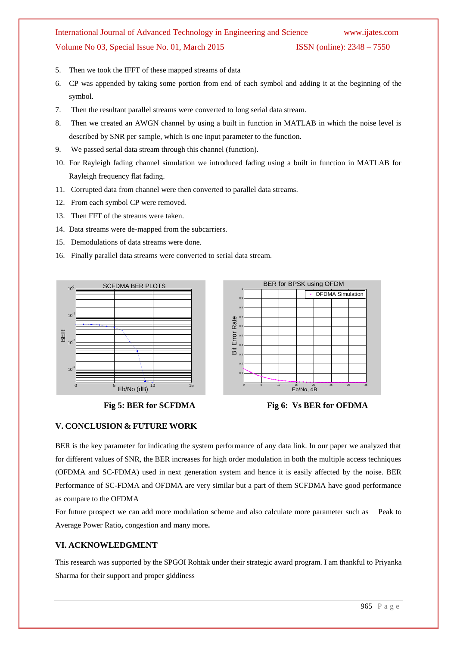- 5. Then we took the IFFT of these mapped streams of data
- 6. CP was appended by taking some portion from end of each symbol and adding it at the beginning of the symbol.
- 7. Then the resultant parallel streams were converted to long serial data stream.
- 8. Then we created an AWGN channel by using a built in function in MATLAB in which the noise level is described by SNR per sample, which is one input parameter to the function.
- 9. We passed serial data stream through this channel (function).
- 10. For Rayleigh fading channel simulation we introduced fading using a built in function in MATLAB for Rayleigh frequency flat fading.
- 11. Corrupted data from channel were then converted to parallel data streams.
- 12. From each symbol CP were removed.
- 13. Then FFT of the streams were taken.
- 14. Data streams were de-mapped from the subcarriers.
- 15. Demodulations of data streams were done.
- 16. Finally parallel data streams were converted to serial data stream.





Fig 5: BER for SCFDMA Fig 6: Vs BER for OFDMA

### **V. CONCLUSION & FUTURE WORK**

BER is the key parameter for indicating the system performance of any data link. In our paper we analyzed that for different values of SNR, the BER increases for high order modulation in both the multiple access techniques (OFDMA and SC-FDMA) used in next generation system and hence it is easily affected by the noise. BER Performance of SC-FDMA and OFDMA are very similar but a part of them SCFDMA have good performance as compare to the OFDMA

For future prospect we can add more modulation scheme and also calculate more parameter such as Peak to Average Power Ratio**,** congestion and many more**.**

### **VI. ACKNOWLEDGMENT**

This research was supported by the SPGOI Rohtak under their strategic award program. I am thankful to Priyanka Sharma for their support and proper giddiness